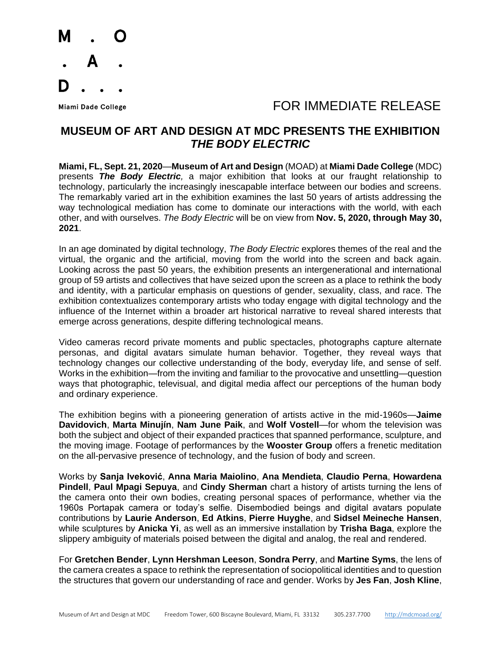

## Miami Dade College The College College College The College The College The Top To FOR IMMEDIATE RELEASE

## **MUSEUM OF ART AND DESIGN AT MDC PRESENTS THE EXHIBITION** *THE BODY ELECTRIC*

**Miami, FL, Sept. 21, 2020**—**Museum of Art and Design** (MOAD) at **Miami Dade College** (MDC) presents *The Body Electric,* a major exhibition that looks at our fraught relationship to technology, particularly the increasingly inescapable interface between our bodies and screens. The remarkably varied art in the exhibition examines the last 50 years of artists addressing the way technological mediation has come to dominate our interactions with the world, with each other, and with ourselves. *The Body Electric* will be on view from **Nov. 5, 2020, through May 30, 2021**.

In an age dominated by digital technology, *The Body Electric* explores themes of the real and the virtual, the organic and the artificial, moving from the world into the screen and back again. Looking across the past 50 years, the exhibition presents an intergenerational and international group of 59 artists and collectives that have seized upon the screen as a place to rethink the body and identity, with a particular emphasis on questions of gender, sexuality, class, and race. The exhibition contextualizes contemporary artists who today engage with digital technology and the influence of the Internet within a broader art historical narrative to reveal shared interests that emerge across generations, despite differing technological means.

Video cameras record private moments and public spectacles, photographs capture alternate personas, and digital avatars simulate human behavior. Together, they reveal ways that technology changes our collective understanding of the body, everyday life, and sense of self. Works in the exhibition—from the inviting and familiar to the provocative and unsettling—question ways that photographic, televisual, and digital media affect our perceptions of the human body and ordinary experience.

The exhibition begins with a pioneering generation of artists active in the mid-1960s—**Jaime Davidovich**, **Marta Minujín**, **Nam June Paik**, and **Wolf Vostell**—for whom the television was both the subject and object of their expanded practices that spanned performance, sculpture, and the moving image. Footage of performances by the **Wooster Group** offers a frenetic meditation on the all-pervasive presence of technology, and the fusion of body and screen.

Works by **Sanja Iveković**, **Anna Maria Maiolino**, **Ana Mendieta**, **Claudio Perna**, **Howardena Pindell**, **Paul Mpagi Sepuya**, and **Cindy Sherman** chart a history of artists turning the lens of the camera onto their own bodies, creating personal spaces of performance, whether via the 1960s Portapak camera or today's selfie. Disembodied beings and digital avatars populate contributions by **Laurie Anderson**, **Ed Atkins**, **Pierre Huyghe**, and **Sidsel Meineche Hansen**, while sculptures by **Anicka Yi**, as well as an immersive installation by **Trisha Baga**, explore the slippery ambiguity of materials poised between the digital and analog, the real and rendered.

For **Gretchen Bender**, **Lynn Hershman Leeson**, **Sondra Perry**, and **Martine Syms**, the lens of the camera creates a space to rethink the representation of sociopolitical identities and to question the structures that govern our understanding of race and gender. Works by **Jes Fan**, **Josh Kline**,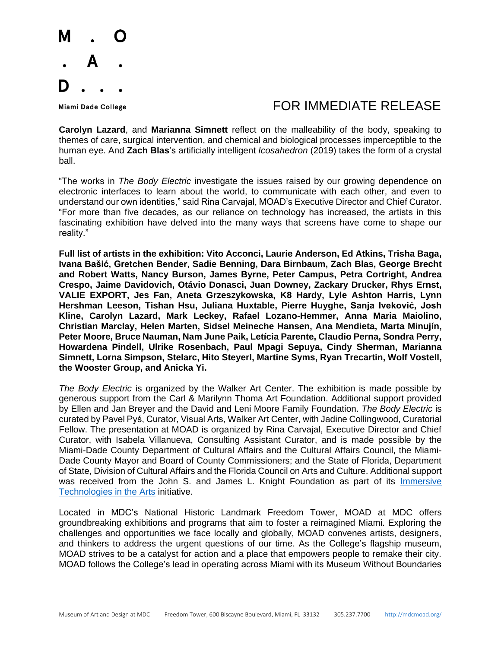

## Miami Dade College The Second Line of the Second Line of Table To Refer to Table To Release

**Carolyn Lazard**, and **Marianna Simnett** reflect on the malleability of the body, speaking to themes of care, surgical intervention, and chemical and biological processes imperceptible to the human eye. And **Zach Blas**'s artificially intelligent *Icosahedron* (2019) takes the form of a crystal ball.

"The works in *The Body Electric* investigate the issues raised by our growing dependence on electronic interfaces to learn about the world, to communicate with each other, and even to understand our own identities," said Rina Carvajal, MOAD's Executive Director and Chief Curator. "For more than five decades, as our reliance on technology has increased, the artists in this fascinating exhibition have delved into the many ways that screens have come to shape our reality."

**Full list of artists in the exhibition: Vito Acconci, Laurie Anderson, Ed Atkins, Trisha Baga, Ivana Bašić, Gretchen Bender, Sadie Benning, Dara Birnbaum, Zach Blas, George Brecht and Robert Watts, Nancy Burson, James Byrne, Peter Campus, Petra Cortright, Andrea Crespo, Jaime Davidovich, Otávio Donasci, Juan Downey, Zackary Drucker, Rhys Ernst, VALIE EXPORT, Jes Fan, Aneta Grzeszykowska, K8 Hardy, Lyle Ashton Harris, Lynn Hershman Leeson, Tishan Hsu, Juliana Huxtable, Pierre Huyghe, Sanja Iveković, Josh Kline, Carolyn Lazard, Mark Leckey, Rafael Lozano-Hemmer, Anna Maria Maiolino, Christian Marclay, Helen Marten, Sidsel Meineche Hansen, Ana Mendieta, Marta Minujín, Peter Moore, Bruce Nauman, Nam June Paik, Letícia Parente, Claudio Perna, Sondra Perry, Howardena Pindell, Ulrike Rosenbach, Paul Mpagi Sepuya, Cindy Sherman, Marianna Simnett, Lorna Simpson, Stelarc, Hito Steyerl, Martine Syms, Ryan Trecartin, Wolf Vostell, the Wooster Group, and Anicka Yi.**

*The Body Electric* is organized by the Walker Art Center. The exhibition is made possible by generous support from the Carl & Marilynn Thoma Art Foundation. Additional support provided by Ellen and Jan Breyer and the David and Leni Moore Family Foundation. *The Body Electric* is curated by Pavel Pyś, Curator, Visual Arts, Walker Art Center, with Jadine Collingwood, Curatorial Fellow. The presentation at MOAD is organized by Rina Carvajal, Executive Director and Chief Curator, with Isabela Villanueva, Consulting Assistant Curator, and is made possible by the Miami-Dade County Department of Cultural Affairs and the Cultural Affairs Council, the Miami-Dade County Mayor and Board of County Commissioners; and the State of Florida, Department of State, Division of Cultural Affairs and the Florida Council on Arts and Culture. Additional support was received from the John S. and James L. Knight Foundation as part of its [Immersive](https://knightfoundation.org/press/releases/shaping-the-future-of-technology-in-museums-knight-invests-750000-in-five-experiments-using-immersive-technology-in-the-arts/)  [Technologies in the Arts](https://knightfoundation.org/press/releases/shaping-the-future-of-technology-in-museums-knight-invests-750000-in-five-experiments-using-immersive-technology-in-the-arts/) initiative.

Located in MDC's National Historic Landmark Freedom Tower, MOAD at MDC offers groundbreaking exhibitions and programs that aim to foster a reimagined Miami. Exploring the challenges and opportunities we face locally and globally, MOAD convenes artists, designers, and thinkers to address the urgent questions of our time. As the College's flagship museum, MOAD strives to be a catalyst for action and a place that empowers people to remake their city. MOAD follows the College's lead in operating across Miami with its Museum Without Boundaries